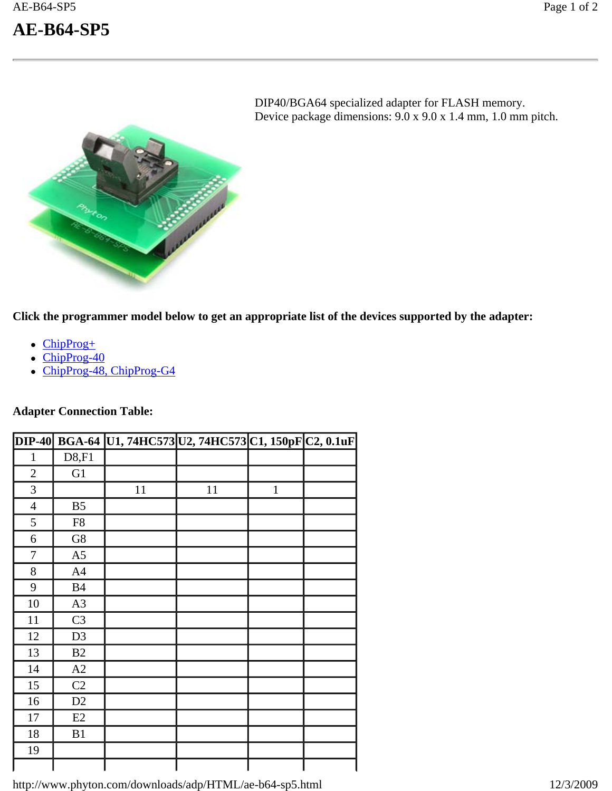## **AE-B64-SP5**



DIP40/BGA64 specialized adapter for FLASH memory. Device package dimensions: 9.0 x 9.0 x 1.4 mm, 1.0 mm pitch.

**Click the programmer model below to get an appropriate list of the devices supported by the adapter:**

- ChipProg+
- $\cdot$  ChipProg-40
- $\overline{\text{ChipProg-48}}$ , ChipProg-G4

## **Adapter Connection Table:**

|                |                | DIP-40 BGA-64 U1, 74HC573 U2, 74HC573 C1, 150pF C2, 0.1uF |    |              |  |
|----------------|----------------|-----------------------------------------------------------|----|--------------|--|
| $\mathbf{1}$   | D8, F1         |                                                           |    |              |  |
| $\mathbf{2}$   | G1             |                                                           |    |              |  |
| 3              |                | 11                                                        | 11 | $\mathbf{1}$ |  |
| $\overline{4}$ | B <sub>5</sub> |                                                           |    |              |  |
| 5              | ${\rm F}8$     |                                                           |    |              |  |
| 6              | G8             |                                                           |    |              |  |
| 7              | A <sub>5</sub> |                                                           |    |              |  |
| 8              | A4             |                                                           |    |              |  |
| 9              | B4             |                                                           |    |              |  |
| 10             | A3             |                                                           |    |              |  |
| 11             | C <sub>3</sub> |                                                           |    |              |  |
| 12             | D <sub>3</sub> |                                                           |    |              |  |
| 13             | B2             |                                                           |    |              |  |
| 14             | A2             |                                                           |    |              |  |
| 15             | C <sub>2</sub> |                                                           |    |              |  |
| 16             | D2             |                                                           |    |              |  |
| 17             | E2             |                                                           |    |              |  |
| 18             | B1             |                                                           |    |              |  |
| 19             |                |                                                           |    |              |  |
|                |                |                                                           |    |              |  |

http://www.phyton.com/downloads/adp/HTML/ae-b64-sp5.html 12/3/2009